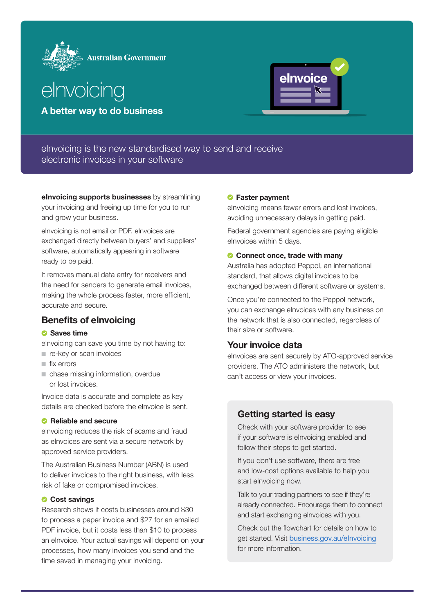



A better way to do business



elnvoicing is the new standardised way to send and receive electronic invoices in your software

elnvoicing supports businesses by streamlining your invoicing and freeing up time for you to run and grow your business.

elnvoicing is not email or PDF. elnvoices are exchanged directly between buyers' and suppliers' software, automatically appearing in software ready to be paid.

It removes manual data entry for receivers and the need for senders to generate email invoices, making the whole process faster, more efficient, accurate and secure.

# Benefits of eInvoicing

#### **Saves time**

elnvoicing can save you time by not having to: ■ re-key or scan invoices

- 
- fix errors
- chase missing information, overdue or lost invoices.

Invoice data is accurate and complete as key details are checked before the eInvoice is sent.

#### **C** Reliable and secure

elnvoicing reduces the risk of scams and fraud as elnvoices are sent via a secure network by approved service providers.

The Australian Business Number (ABN) is used to deliver invoices to the right business, with less risk of fake or compromised invoices.

#### **Cost savings**

Research shows it costs businesses around \$30 to process a paper invoice and \$27 for an emailed PDF invoice, but it costs less than \$10 to process an eInvoice. Your actual savings will depend on your processes, how many invoices you send and the time saved in managing your invoicing.

## **C** Faster payment

elnvoicing means fewer errors and lost invoices, avoiding unnecessary delays in getting paid.

Federal government agencies are paying eligible elnvoices within 5 days.

## Connect once, trade with many

Australia has adopted Peppol, an international standard, that allows digital invoices to be exchanged between different software or systems.

Once you're connected to the Peppol network, you can exchange eInvoices with any business on the network that is also connected, regardless of their size or software.

# Your invoice data

elnvoices are sent securely by ATO-approved service providers. The ATO administers the network, but can't access or view your invoices.

# Getting started is easy

Check with your software provider to see if your software is eInvoicing enabled and follow their steps to get started.

If you don't use software, there are free and low-cost options available to help you start eInvoicing now.

Talk to your trading partners to see if they're already connected. Encourage them to connect and start exchanging eInvoices with you.

Check out the flowchart for details on how to get started. Visit [business.gov.au/eInvoicing](https://business.gov.au/eInvoicing) for more information.